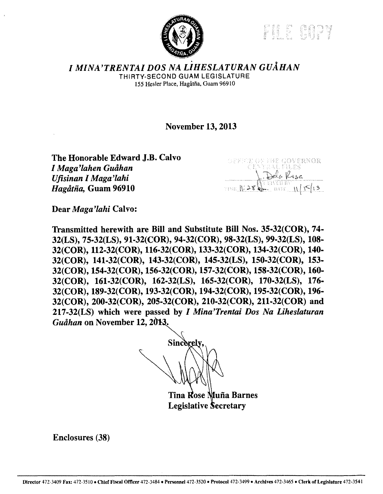Partie College



*I MINA'TRENTAI DOS NA LiHESLATURAN GUAHAN*  THIRTY-SECOND GUAM LEGISLATURE 155 Hesler Place, Hagatfia, Guam 96910

November 13, 2013

The Honorable Edward J.B. Calvo *I Maga'lahen Gutihan Ufisinan I Maga'lahi Hagatiia,* Guam 96910



Dear *Maga'lahi* Calvo:

Transmitted herewith are Bill and Substitute Bill Nos. 35-32(COR), 74- 32(LS), 75-32(LS), 91-32(COR), 94-32(COR), 98-32(LS), 99-32(LS), 108- 32(COR), 112-32(COR), 116-32(COR), 133-32(COR), 134-32(COR), 140- 32(COR), 141-32(COR), 143-32(COR), 145-32(LS), 150-32(COR), 153- 32(COR), 154-32(COR), 156-32(COR), 157-32(COR), 158-32(COR), 160- 32(COR), 161-32(COR), 162-32(LS), 165-32(COR), 170-32(LS), 176- 32(COR), 189-32(COR), 193-32(COR), 194-32(COR), 195·32(COR), 196- 32(COR), 200-32(COR), 205-32(COR), 210-32(COR), 211-32(COR) and 217-32(LS) which were passed by *I Mina'Trentai Dos Na Liheslaturan Guåhan* on November 12, 2013.

Sincerely

Tina Rose Muña Barnes **Legislative Secretary** 

Enclosures (38)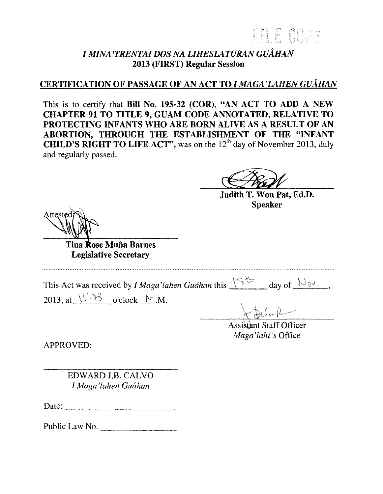EE AAD

# *I MINA 'TRENTAI DOS NA LIHESLATURAN GUAHAN*  2013 (FIRST) Regular Session

# CERTIFICATION OF PASSAGE OF AN ACT TO *I MAGA 'LAHE1V GUAHAN*

This is to certify that Bill No. 195-32 (COR), "AN ACT TO ADD A NEW CHAPTER 91 TO TITLE 9, GUAM CODE ANNOTATED, RELATIVE TO PROTECTING INFANTS WHO ARE BORN ALIVE AS A RESULT OF AN ABORTION, THROUGH THE ESTABLISHMENT OF THE "INFANT **CHILD'S RIGHT TO LIFE ACT"**, was on the  $12<sup>th</sup>$  day of November 2013, duly and regularly passed.

Judith T. Won Pat, Ed.D. Speaker

Tina Rose Muña Barnes Legislative Secretary

This Act was received by *I Maga' lahen Guahan* this  $\sqrt{5^{4} - 1}$  day of  $\sqrt{2}$ .

2013, at  $\sqrt{3}$  o'clock  $\vdash M$ .

Assistant Staff Officer *Maga'lahi's* Office

APPROVED:

EDWARD J.B. CALVO *I Maga'lahen Guahan* 

Date:----------

Public Law No.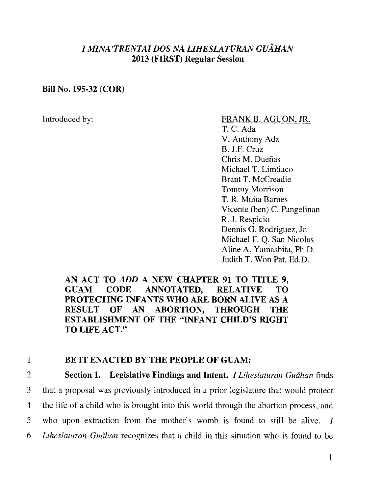## *I MINA 'TRENT AI DOS NA UHESLATURAN GUAHAN*  **2013 (FIRST) Regular Session**

#### **Bill No. 195-32 (COR)**

### Introduced by: FRANK B. AGUON, JR.

T.C. Ada V. Anthony Ada B. J.F. Cruz Chris M. Dueñas Michael T. Limtiaco Brant T. McCreadie Tommy Morrison T. R. Muna Barnes Vicente (ben) C. Pangelinan R. **J.** Respicio Dennis G. Rodriguez, Jr. Michael F. Q. San Nicolas Aline A. Yamashita, Ph.D. Judith T. Won Pat, Ed.D.

### **AN ACT TO** *ADD* **A NEW CHAPTER 91 TO TITLE 9, GUAM CODE ANNOTATED, RELATIVE TO PROTECTING INFANTS WHO ARE BORN ALIVE AS A RESULT OF AN ABORTION, THROUGH THE ESTABLISHMENT OF THE "INFANT CHILD'S RIGHT TO LIFE ACT."**

## **1 BE IT ENACTED BY THE PEOPLE OF GUAM:**

2 **Section 1. Legislative Findings and Intent.** *I Liheslaturan Guahan* finds 3 that a proposal was previously introduced in a prior legislature that would protect 4 the life of a child who is brought into this world through the abortion process, and 5 who upon extraction from the mother's womb is found to still be alive. I 6 *Liheslaturan Guahan* recognizes that a child in this situation who is found to be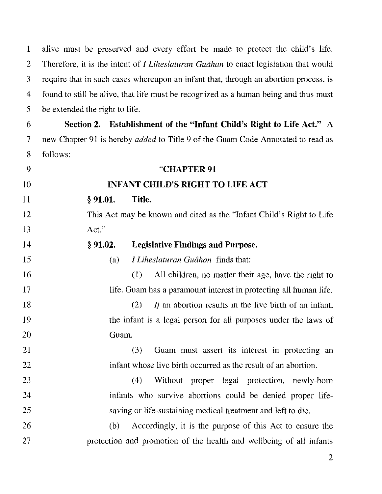1 alive must be preserved and every effort be made to protect the child's life. 2 Therefore, it is the intent of *I Liheslaturan Guahan* to enact legislation that would 3 require that in such cases whereupon an infant that, through an abortion process, is 4 found to still be alive, that life must be recognized as a human being and thus must 5 be extended the right to life. 6 **Section 2. Establishment of the "Infant Child's Right to Life Act."** A 7 new Chapter 91 is hereby *added* to Title 9 of the Guam Code Annotated to read as 8 follows: 9 **"CHAPTER 91**  10 **INFANT CHILD'S RIGHT TO LIFE ACT**  11 § **91.01. Title.**  12 This Act may be known and cited as the "Infant Child's Right to Life 13 Act." 14 15 16 17 18 19 20 21 22 23 24 25 26 27 § **91.02. Legislative Findings and Purpose.**  (a) *I Liheslaturan Guahan* finds that: (l) All children, no matter their age, have the right to life. Guam has a paramount interest in protecting all human life. (2) *If* an abortion results in the live birth of an infant, the infant is a legal person for all purposes under the laws of Guam. (3) Guam must assert its interest in protecting an infant whose live birth occurred as the result of an abortion. (4) Without proper legal protection, newly-born infants who survive abortions could be denied proper lifesaving or life-sustaining medical treatment and left to die. (b) Accordingly, it is the purpose of this Act to ensure the protection and promotion of the health and wellbeing of all infants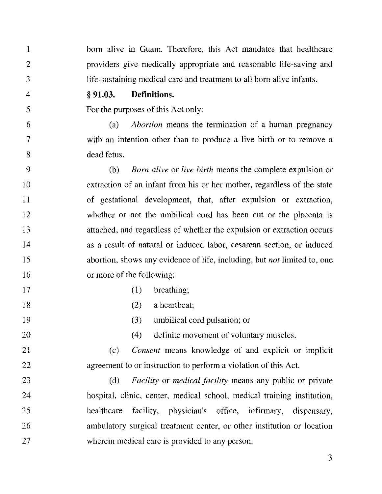l 2 3 4 5 6 7 8 9 10 11 12 13 14 15 16 17 18 19 20 21 22 23 24 25 26 27 born alive in Guam. Therefore, this Act mandates that healthcare providers give medically appropriate and reasonable life-saving and life-sustaining medical care and treatment to all born alive infants. § **91.03. Definitions.**  For the purposes of this Act only: (a) *Abortion* means the termination of a human pregnancy with an intention other than to produce a live birth or to remove a dead fetus. (b) *Born alive* or *live birth* means the complete expulsion or extraction of an infant from his or her mother, regardless of the state of gestational development, that, after expulsion or extraction, whether or not the umbilical cord has been cut or the placenta is attached, and regardless of whether the expulsion or extraction occurs as a result of natural or induced labor, cesarean section, or induced abortion, shows any evidence of life, including, but *not* limited to, one or more of the following:  $(1)$  breathing; (2) a heartbeat; (3) umbilical cord pulsation; or ( 4) definite movement of voluntary muscles. (c) *Consent* means knowledge of and explicit or implicit agreement to or instruction to perform a violation of this Act. (d) *Facility* or *medical facility* means any public or private hospital, clinic, center, medical school, medical training institution, healthcare facility, physician's office, infirmary, dispensary, ambulatory surgical treatment center, or other institution or location wherein medical care is provided to any person.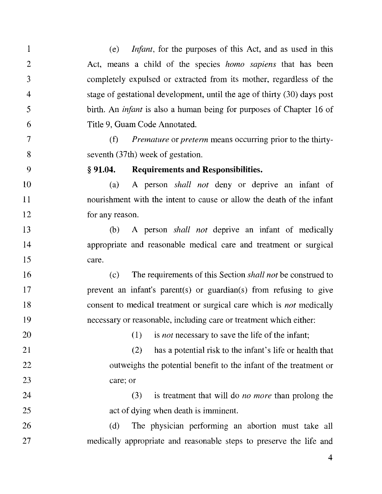l 2 3 4 5 6 7 8 9 10 11 12 13 14 15 16 17 18 19 20 21 22 23 24 25 26 27 (e) *Infant,* for the purposes of this Act, and as used in this Act, means a child of the species *homo sapiens* that has been completely expulsed or extracted from its mother, regardless of the stage of gestational development, until the age of thirty (30) days post birth. An *infant* is also a human being for purposes of Chapter 16 of Title 9, Guam Code Annotated. (f) *Premature* or *preterm* means occurring prior to the thirtyseventh (37th) week of gestation. § **91.04. Requirements and Responsibilities.**  (a) A person *shall not* deny or deprive an infant of nourishment with the intent to cause or allow the death of the infant for any reason. (b) A person *shall not* deprive an infant of medically appropriate and reasonable medical care and treatment or surgical care. ( c) The requirements of this Section *shall not* be construed to prevent an infant's parent(s) or guardian(s) from refusing to give consent to medical treatment or surgical care which is *not* medically necessary or reasonable, including care or treatment which either: ( 1) is *not* necessary to save the life of the infant; (2) has a potential risk to the infant's life or health that outweighs the potential benefit to the infant of the treatment or care; or (3) is treatment that will do *no more* than prolong the act of dying when death is imminent. (d) The physician performing an abortion must take all medically appropriate and reasonable steps to preserve the life and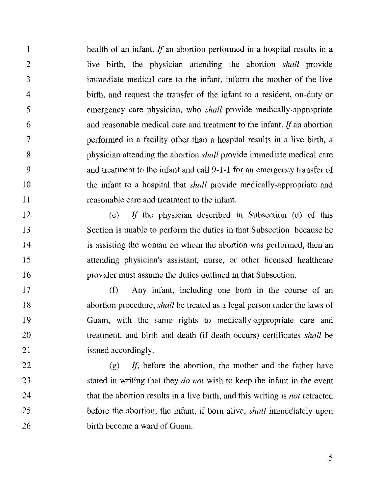1 2 3 4 5 6 7 8 9 10 11 health of an infant. If an abortion performed in a hospital results in a live birth, the physician attending the abortion *shall* provide immediate medical care to the infant, inform the mother of the live birth, and request the transfer of the infant to a resident, on-duty or emergency care physician, who *shall* provide medically-appropriate and reasonable medical care and treatment to the infant. *If* an abortion performed in a facility other than a hospital results in a live birth, a physician attending the abortion *shall* provide immediate medical care and treatment to the infant and call 9-1-1 for an emergency transfer of the infant to a hospital that *shall* provide medically-appropriate and reasonable care and treatment to the infant.

12 13 14 15 16 (e) *If* the physician described in Subsection (d) of this Section is unable to perform the duties in that Subsection because he is assisting the woman on whom the abortion was performed, then an attending physician's assistant, nurse, or other licensed healthcare provider must assume the duties outlined in that Subsection.

17 18 19 20 21 (f) Any infant, including one born in the course of an abortion procedure, *shall* be treated as a legal person under the laws of Guam, with the same rights to medically-appropriate care and treatment, and birth and death (if death occurs) certificates *shall* be issued accordingly.

22 23 24 25 26  $(g)$  If, before the abortion, the mother and the father have stated in writing that they *do not* wish to keep the infant in the event that the abortion results in a live birth, and this writing is *not* retracted before the abortion, the infant, if born alive, *shall* immediately upon birth become a ward of Guam.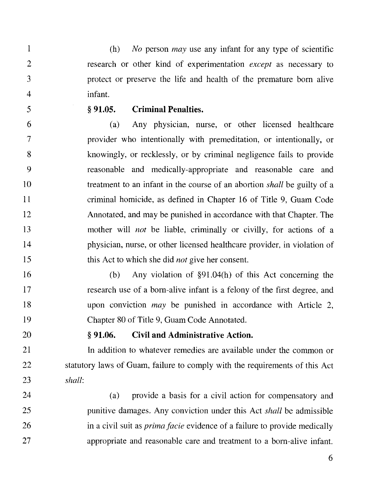(h) *No* person *may* use any infant for any type of scientific research or other kind of experimentation *except* as necessary to protect or preserve the life and health of the premature born alive infant.

5

l

 $\overline{2}$ 

3

4

#### § **91.05. Criminal Penalties.**

6 (a) Any physician, nurse, or other licensed healthcare 7 provider who intentionally with premeditation, or intentionally, or 8 knowingly, or recklessly, or by criminal negligence fails to provide 9 reasonable and medically-appropriate and reasonable care and I 0 treatment to an infant in the course of an abortion *shall* be guilty of a 11 criminal homicide, as defined in Chapter 16 of Title 9, Guam Code 12 Annotated, and may be punished in accordance with that Chapter. The 13 mother will *not* be liable, criminally or civilly, for actions of a 14 physician, nurse, or other licensed healthcare provider, in violation of 15 this Act to which she did *not* give her consent.

16 (b) Any violation of §91.04(h) of this Act concerning the 17 research use of a born-alive infant is a felony of the first degree, and 18 upon conviction *may* be punished in accordance with Article 2, 19 Chapter 80 of Title 9, Guam Code Annotated.

#### 20 § **91.06. Civil and Administrative Action.**

21 In addition to whatever remedies are available under the common or 22 statutory laws of Guam, failure to comply with the requirements of this Act 23 *shall:* 

24 (a) provide a basis for a civil action for compensatory and 25 punitive damages. Any conviction under this Act *shall* be admissible 26 in a civil suit as *primafacie* evidence of a failure to provide medically 27 appropriate and reasonable care and treatment to a born-alive infant.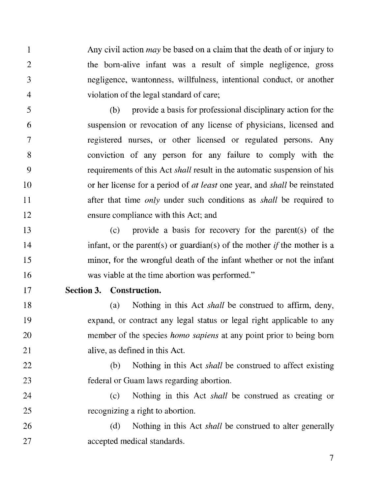1 Any civil action *may* be based on a claim that the death of or injury to 2 the born-alive infant was a result of simple negligence, gross 3 negligence, wantonness, willfulness, intentional conduct, or another 4 violation of the legal standard of care;

5 (b) provide a basis for professional disciplinary action for the 6 suspension or revocation of any license of physicians, licensed and 7 registered nurses, or other licensed or regulated persons. Any 8 conviction of any person for any failure to comply with the 9 requirements of this Act *shall* result in the automatic suspension of his l 0 or her license for a period of *at least* one year, and *shall* be reinstated 11 after that time *only* under such conditions as *shall* be required to 12 ensure compliance with this Act; and

13 (c) provide a basis for recovery for the parent(s) of the 14 infant, or the parent(s) or guardian(s) of the mother if the mother is a 15 minor, for the wrongful death of the infant whether or not the infant 16 was viable at the time abortion was performed."

## 17 **Section 3. Construction.**

18 19 20 21 (a) Nothing in this Act *shall* be construed to affirm, deny, expand, or contract any legal status or legal right applicable to any member of the species *homo sapiens* at any point prior to being born alive, as defined in this Act.

22 23 (b) Nothing in this Act *shall* be construed to affect existing federal or Guam laws regarding abortion.

24 25 (c) Nothing in this Act *shall* be construed as creating or recognizing a right to abortion.

26 27 (d) Nothing in this Act *shall* be construed to alter generally accepted medical standards.